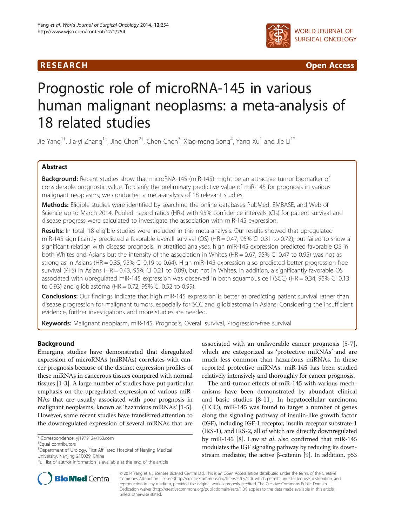



# Prognostic role of microRNA-145 in various human malignant neoplasms: a meta-analysis of 18 related studies

Jie Yang<sup>1†</sup>, Jia-yi Zhang<sup>1†</sup>, Jing Chen<sup>2†</sup>, Chen Chen<sup>3</sup>, Xiao-meng Song<sup>4</sup>, Yang Xu<sup>1</sup> and Jie Li<sup>1\*</sup>

# Abstract

Background: Recent studies show that microRNA-145 (miR-145) might be an attractive tumor biomarker of considerable prognostic value. To clarify the preliminary predictive value of miR-145 for prognosis in various malignant neoplasms, we conducted a meta-analysis of 18 relevant studies.

Methods: Eligible studies were identified by searching the online databases PubMed, EMBASE, and Web of Science up to March 2014. Pooled hazard ratios (HRs) with 95% confidence intervals (CIs) for patient survival and disease progress were calculated to investigate the association with miR-145 expression.

Results: In total, 18 eligible studies were included in this meta-analysis. Our results showed that upregulated miR-145 significantly predicted a favorable overall survival (OS) (HR = 0.47, 95% CI 0.31 to 0.72), but failed to show a significant relation with disease prognosis. In stratified analyses, high miR-145 expression predicted favorable OS in both Whites and Asians but the intensity of the association in Whites (HR = 0.67, 95% CI 0.47 to 0.95) was not as strong as in Asians (HR = 0.35, 95% CI 0.19 to 0.64). High miR-145 expression also predicted better progression-free survival (PFS) in Asians (HR = 0.43, 95% CI 0.21 to 0.89), but not in Whites. In addition, a significantly favorable OS associated with upregulated miR-145 expression was observed in both squamous cell (SCC) (HR = 0.34, 95% CI 0.13 to 0.93) and glioblastoma (HR = 0.72, 95% CI 0.52 to 0.99).

**Conclusions:** Our findings indicate that high miR-145 expression is better at predicting patient survival rather than disease progression for malignant tumors, especially for SCC and glioblastoma in Asians. Considering the insufficient evidence, further investigations and more studies are needed.

Keywords: Malignant neoplasm, miR-145, Prognosis, Overall survival, Progression-free survival

# Background

Emerging studies have demonstrated that deregulated expression of microRNAs (miRNAs) correlates with cancer prognosis because of the distinct expression profiles of these miRNAs in cancerous tissues compared with normal tissues [\[1](#page-7-0)-[3\]](#page-7-0). A large number of studies have put particular emphasis on the upregulated expression of various miR-NAs that are usually associated with poor prognosis in malignant neoplasms, known as 'hazardous miRNAs' [\[1](#page-7-0)-[5](#page-7-0)]. However, some recent studies have transferred attention to the downregulated expression of several miRNAs that are

associated with an unfavorable cancer prognosis [\[5-](#page-7-0)[7](#page-8-0)], which are categorized as 'protective miRNAs' and are much less common than hazardous miRNAs. In these reported protective miRNAs, miR-145 has been studied relatively intensively and thoroughly for cancer prognosis.

The anti-tumor effects of miR-145 with various mechanisms have been demonstrated by abundant clinical and basic studies [[8-11](#page-8-0)]. In hepatocellular carcinoma (HCC), miR-145 was found to target a number of genes along the signaling pathway of insulin-like growth factor (IGF), including IGF-1 receptor, insulin receptor substrate-1 (IRS-1), and IRS-2, all of which are directly downregulated by miR-145 [[8](#page-8-0)]. Law et al. also confirmed that miR-145 modulates the IGF signaling pathway by reducing its down-stream mediator, the active β-catenin [[9](#page-8-0)]. In addition,  $p53$ 



© 2014 Yang et al.; licensee BioMed Central Ltd. This is an Open Access article distributed under the terms of the Creative Commons Attribution License [\(http://creativecommons.org/licenses/by/4.0\)](http://creativecommons.org/licenses/by/4.0), which permits unrestricted use, distribution, and reproduction in any medium, provided the original work is properly credited. The Creative Commons Public Domain Dedication waiver [\(http://creativecommons.org/publicdomain/zero/1.0/](http://creativecommons.org/publicdomain/zero/1.0/)) applies to the data made available in this article, unless otherwise stated.

<sup>\*</sup> Correspondence: [yj197912@163.com](mailto:yj197912@163.com) †

Equal contributors

<sup>&</sup>lt;sup>1</sup>Department of Urology, First Affiliated Hospital of Nanjing Medical University, Nanjing 210029, China

Full list of author information is available at the end of the article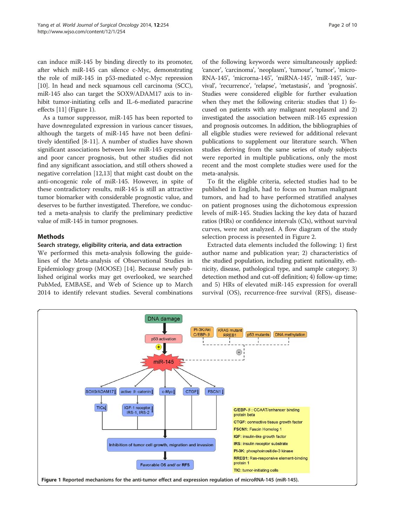<span id="page-1-0"></span>can induce miR-145 by binding directly to its promoter, after which miR-145 can silence c-Myc, demonstrating the role of miR-145 in p53-mediated c-Myc repression [[10](#page-8-0)]. In head and neck squamous cell carcinoma (SCC), miR-145 also can target the SOX9/ADAM17 axis to inhibit tumor-initiating cells and IL-6-mediated paracrine effects [[11\]](#page-8-0) (Figure 1).

As a tumor suppressor, miR-145 has been reported to have downregulated expression in various cancer tissues, although the targets of miR-145 have not been definitively identified [\[8](#page-8-0)-[11\]](#page-8-0). A number of studies have shown significant associations between low miR-145 expression and poor cancer prognosis, but other studies did not find any significant association, and still others showed a negative correlation [\[12,13\]](#page-8-0) that might cast doubt on the anti-oncogenic role of miR-145. However, in spite of these contradictory results, miR-145 is still an attractive tumor biomarker with considerable prognostic value, and deserves to be further investigated. Therefore, we conducted a meta-analysis to clarify the preliminary predictive value of miR-145 in tumor prognoses.

# Methods

# Search strategy, eligibility criteria, and data extraction

We performed this meta-analysis following the guidelines of the Meta-analysis of Observational Studies in Epidemiology group (MOOSE) [\[14](#page-8-0)]. Because newly published original works may get overlooked, we searched PubMed, EMBASE, and Web of Science up to March 2014 to identify relevant studies. Several combinations

of the following keywords were simultaneously applied: 'cancer', 'carcinoma', 'neoplasm', 'tumour', 'tumor', 'micro-RNA-145', 'microrna-145', 'miRNA-145', 'miR-145', 'survival', 'recurrence', 'relapse', 'metastasis', and 'prognosis'. Studies were considered eligible for further evaluation when they met the following criteria: studies that 1) focused on patients with any malignant neoplasmI and 2) investigated the association between miR-145 expression and prognosis outcomes. In addition, the bibliographies of all eligible studies were reviewed for additional relevant publications to supplement our literature search. When studies deriving from the same series of study subjects were reported in multiple publications, only the most recent and the most complete studies were used for the meta-analysis.

To fit the eligible criteria, selected studies had to be published in English, had to focus on human malignant tumors, and had to have performed stratified analyses on patient prognoses using the dichotomous expression levels of miR-145. Studies lacking the key data of hazard ratios (HRs) or confidence intervals (CIs), without survival curves, were not analyzed. A flow diagram of the study selection process is presented in Figure [2.](#page-2-0)

Extracted data elements included the following: 1) first author name and publication year; 2) characteristics of the studied population, including patient nationality, ethnicity, disease, pathological type, and sample category; 3) detection method and cut-off definition; 4) follow-up time; and 5) HRs of elevated miR-145 expression for overall survival (OS), recurrence-free survival (RFS), disease-

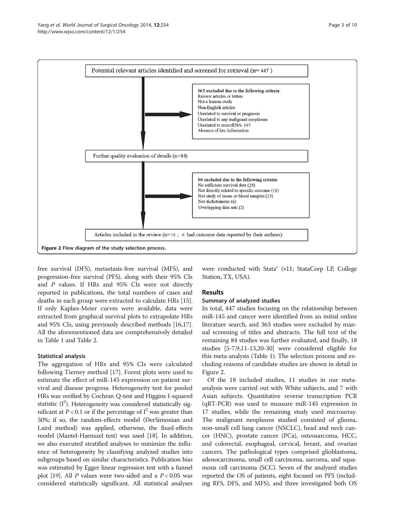<span id="page-2-0"></span>

free survival (DFS), metastasis-free survival (MFS), and progression-free survival (PFS), along with their 95% CIs and P values. If HRs and 95% CIs were not directly reported in publications, the total numbers of cases and deaths in each group were extracted to calculate HRs [[15](#page-8-0)]. If only Kaplan-Meier curves were available, data were extracted from graphical survival plots to extrapolate HRs and 95% CIs, using previously described methods [\[16,17](#page-8-0)]. All the aforementioned data are comprehensively detailed in Table [1](#page-3-0) and Table [2](#page-4-0).

# Statistical analysis

The aggregation of HRs and 95% CIs were calculated following Tierney method [\[17\]](#page-8-0). Forest plots were used to estimate the effect of miR-145 expression on patient survival and disease progress. Heterogeneity test for pooled HRs was verified by Cochran Q-test and Higgins I-squared statistic  $(I^2)$ . Heterogeneity was considered statistically significant at  $P < 0.1$  or if the percentage of  $I<sup>2</sup>$  was greater than 50%; if so, the random-effects model (DerSimonian and Laird method) was applied, otherwise, the fixed-effects model (Mantel-Haenszel test) was used [[18](#page-8-0)]. In addition, we also executed stratified analyses to minimize the influence of heterogeneity by classifying analyzed studies into subgroups based on similar characteristics. Publication bias was estimated by Egger linear regression test with a funnel plot [\[19](#page-8-0)]. All P values were two-sided and a  $P < 0.05$  was considered statistically significant. All statistical analyses were conducted with Stata® (v11; StataCorp LP, College Station, TX, USA).

# Results

## Summary of analyzed studies

In total, 447 studies focusing on the relationship between miR-145 and cancer were identified from an initial online literature search, and 363 studies were excluded by manual screening of titles and abstracts. The full text of the remaining 84 studies was further evaluated, and finally, 18 studies [\[5](#page-7-0)[-7,9,11-13,20-30\]](#page-8-0) were considered eligible for this meta-analysis (Table [1](#page-3-0)). The selection process and excluding reasons of candidate studies are shown in detail in Figure 2.

Of the 18 included studies, 11 studies in our metaanalysis were carried out with White subjects, and 7 with Asian subjects. Quantitative reverse transcription PCR (qRT-PCR) was used to measure miR-145 expression in 17 studies, while the remaining study used microarray. The malignant neoplasms studied consisted of glioma, non-small cell lung cancer (NSCLC), head and neck cancer (HNC), prostate cancer (PCa), osteosarcoma, HCC, and colorectal, esophageal, cervical, breast, and ovarian cancers. The pathological types comprised glioblastoma, adenocarcinoma, small cell carcinoma, sarcoma, and squamous cell carcinoma (SCC). Seven of the analyzed studies reported the OS of patients, eight focused on PFS (including RFS, DFS, and MFS), and three investigated both OS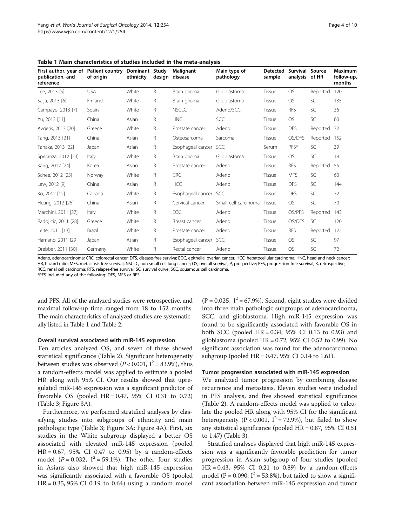| First author, year of Patient country<br>publication, and<br>reference | of origin  | Dominant Study<br>ethnicity | design | Malignant<br>disease | Main type of<br>pathology | <b>Detected</b><br>sample | Survival Source<br>analysis of HR |           | <b>Maximum</b><br>follow-up,<br>months |
|------------------------------------------------------------------------|------------|-----------------------------|--------|----------------------|---------------------------|---------------------------|-----------------------------------|-----------|----------------------------------------|
| Lee, 2013 [5]                                                          | <b>USA</b> | White                       | R      | Brain glioma         | Glioblastoma              | Tissue                    | <b>OS</b>                         | Reported  | 120                                    |
| Saija, 2013 [6]                                                        | Finland    | White                       | R      | Brain glioma         | Glioblastoma              | Tissue                    | <b>OS</b>                         | SC        | 135                                    |
| Campayo, 2013 [7]                                                      | Spain      | White                       | R.     | <b>NSCLC</b>         | Adeno/SCC                 | Tissue                    | <b>RFS</b>                        | <b>SC</b> | 36                                     |
| Yu, 2013 [11]                                                          | China      | Asian                       | R      | <b>HNC</b>           | SCC                       | Tissue                    | <b>OS</b>                         | <b>SC</b> | 60                                     |
| Avgeris, 2013 [20]                                                     | Greece     | White                       | R      | Prostate cancer      | Adeno                     | Tissue                    | <b>DFS</b>                        | Reported  | 72                                     |
| Tang, 2013 [21]                                                        | China      | Asian                       | R      | Osteosarcoma         | Sarcoma                   | Tissue                    | OS/DFS                            | Reported  | 152                                    |
| Tanaka, 2013 [22]                                                      | Japan      | Asian                       | R      | Esophageal cancer    | <b>SCC</b>                | Serum                     | PFS <sup>a</sup>                  | SC        | 39                                     |
| Speranza, 2012 [23]                                                    | Italy      | White                       | R      | Brain glioma         | Glioblastoma              | Tissue                    | <b>OS</b>                         | <b>SC</b> | 18                                     |
| Kang, 2012 [24]                                                        | Korea      | Asian                       | R      | Prostate cancer      | Adeno                     | Tissue                    | <b>RFS</b>                        | Reported  | 55                                     |
| Schee, 2012 [25]                                                       | Norway     | White                       | R      | <b>CRC</b>           | Adeno                     | Tissue                    | <b>MFS</b>                        | SC        | 60                                     |
| Law, 2012 [9]                                                          | China      | Asian                       | R      | <b>HCC</b>           | Adeno                     | Tissue                    | <b>DFS</b>                        | SC        | 144                                    |
| Ko, 2012 [12]                                                          | Canada     | White                       | R      | Esophageal cancer    | <b>SCC</b>                | Tissue                    | <b>DFS</b>                        | <b>SC</b> | 32                                     |
| Huang, 2012 [26]                                                       | China      | Asian                       | R.     | Cervical cancer      | Small cell carcinoma      | Tissue                    | <b>OS</b>                         | SC        | 70                                     |
| Marchini, 2011 [27]                                                    | Italy      | White                       | R      | EOC                  | Adeno                     | Tissue                    | OS/PFS                            | Reported  | 143                                    |
| Radojicic, 2011 [28]                                                   | Greece     | White                       | R      | Breast cancer        | Adeno                     | Tissue                    | OS/DFS                            | SC        | 120                                    |
| Leite, 2011 [13]                                                       | Brazil     | White                       | R      | Prostate cancer      | Adeno                     | Tissue                    | <b>RFS</b>                        | Reported  | 122                                    |
| Hamano, 2011 [29]                                                      | Japan      | Asian                       | R      | Esophageal cancer    | <b>SCC</b>                | Tissue                    | <b>OS</b>                         | <b>SC</b> | 97                                     |
| Drebber, 2011 [30]                                                     | Germany    | White                       | R      | Rectal cancer        | Adeno                     | Tissue                    | <b>OS</b>                         | <b>SC</b> | 72                                     |

<span id="page-3-0"></span>Table 1 Main characteristics of studies included in the meta-analysis

Adeno, adenocarcinoma; CRC, colorectal cancer; DFS, disease-free surviva; EOC, epithelial ovarian cancer; HCC, hepatocellular carcinoma; HNC, head and neck cancer; HR, hazard ratio; MFS, metastasis-free survival; NSCLC, non-small cell lung cancer; OS, overall survival; P, prospective; PFS, progression-free survival; R, retrospective; RCC, renal cell carcinoma; RFS, relapse-free survival; SC, survival curve; SCC, squamous cell carcinoma. <sup>a</sup>PFS included any of the following: DFS, MFS or RFS.

and PFS. All of the analyzed studies were retrospective, and maximal follow-up time ranged from 18 to 152 months. The main characteristics of analyzed studies are systematically listed in Table 1 and Table [2.](#page-4-0)

## Overall survival associated with miR-145 expression

Ten articles analyzed OS, and seven of these showed statistical significance (Table [2](#page-4-0)). Significant heterogeneity between studies was observed ( $P < 0.001$ ,  $I^2 = 83.9\%$ ), thus a random-effects model was applied to estimate a pooled HR along with 95% CI. Our results showed that upregulated miR-145 expression was a significant predictor of favorable OS (pooled  $HR = 0.47$ , 95% CI 0.31 to 0.72) (Table [3](#page-4-0); Figure [3](#page-5-0)A).

Furthermore, we performed stratified analyses by classifying studies into subgroups of ethnicity and main pathologic type (Table [3;](#page-4-0) Figure [3A](#page-5-0); Figure [4](#page-6-0)A). First, six studies in the White subgroup displayed a better OS associated with elevated miR-145 expression (pooled HR = 0.67, 95% CI 0.47 to 0.95) by a random-effects model ( $P = 0.032$ ,  $I^2 = 59.1\%$ ). The other four studies in Asians also showed that high miR-145 expression was significantly associated with a favorable OS (pooled HR = 0.35, 95% CI 0.19 to 0.64) using a random model

 $(P = 0.025, I^2 = 67.9\%)$ . Second, eight studies were divided into three main pathologic subgroups of adenocarcinoma, SCC, and glioblastoma. High miR-145 expression was found to be significantly associated with favorable OS in both SCC (pooled HR = 0.34, 95% CI 0.13 to 0.93) and glioblastoma (pooled  $HR = 0.72$ , 95% CI 0.52 to 0.99). No significant association was found for the adenocarcinoma subgroup (pooled HR = 0.47, 95% CI 0.14 to 1.61).

#### Tumor progression associated with miR-145 expression

We analyzed tumor progression by combining disease recurrence and metastasis. Eleven studies were included in PFS analysis, and five showed statistical significance (Table [2](#page-4-0)). A random-effects model was applied to calculate the pooled HR along with 95% CI for the significant heterogeneity (P < 0.001,  $I^2 = 72.9\%$ ), but failed to show any statistical significance (pooled HR = 0.87, 95% CI 0.51 to 1.47) (Table [3](#page-4-0)).

Stratified analyses displayed that high miR-145 expression was a significantly favorable prediction for tumor progression in Asian subgroup of four studies (pooled  $HR = 0.43, 95\% \text{ CI } 0.21 \text{ to } 0.89$  by a random-effects model (P = 0.090,  $I^2$  = 53.8%), but failed to show a significant association between miR-145 expression and tumor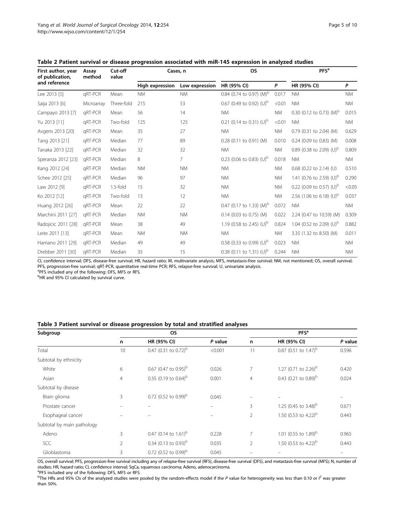<span id="page-4-0"></span>

| First author, year<br>of publication, | Assay<br>method | Cut-off<br>value | Cases, n        |                | <b>OS</b>                            |           | PFS <sup>a</sup>                     |           |
|---------------------------------------|-----------------|------------------|-----------------|----------------|--------------------------------------|-----------|--------------------------------------|-----------|
| and reference                         |                 |                  | High expression | Low expression | HR (95% CI)                          | P         | HR (95% CI)                          | P         |
| Lee 2013 [5]                          | gRT-PCR         | Mean             | <b>NM</b>       | <b>NM</b>      | 0.84 (0.74 to 0.97) (M) <sup>b</sup> | 0.017     | <b>NM</b>                            | <b>NM</b> |
| Saija 2013 [6]                        | Microarray      | Three-fold       | 215             | 53             | 0.67 (0.49 to 0.92) $(U)^{b}$        | < 0.01    | <b>NM</b>                            | <b>NM</b> |
| Campayo 2013 [7]                      | gRT-PCR         | Mean             | 56              | 14             | <b>NM</b>                            | <b>NM</b> | 0.30 (0.12 to 0.73) (M) <sup>b</sup> | 0.015     |
| Yu 2013 [11]                          | aRT-PCR         | Two-fold         | 125             | 125            | 0.21 (0.14 to 0.31) $(U)^{b}$        | < 0.01    | <b>NM</b>                            | <b>NM</b> |
| Avgeris 2013 [20]                     | gRT-PCR         | Mean             | 35              | 27             | <b>NM</b>                            | <b>NM</b> | 0.79 (0.31 to 2.04) (M)              | 0.629     |
| Tang 2013 [21]                        | gRT-PCR         | Median           | 77              | 89             | 0.28 (0.11 to 0.91) (M)              | 0.010     | 0.24 (0.09 to 0.83) (M)              | 0.008     |
| Tanaka 2013 [22]                      | gRT-PCR         | Median           | 32              | 32             | <b>NM</b>                            | <b>NM</b> | 0.89 (0.38 to 2.09) (U) <sup>b</sup> | 0.809     |
| Speranza 2012 [23]                    | gRT-PCR         | Median           | 8               | $\overline{7}$ | 0.23 (0.06 to 0.83) $(U)^b$          | 0.018     | <b>NM</b>                            | <b>NM</b> |
| Kang 2012 [24]                        | gRT-PCR         | Median           | <b>NM</b>       | <b>NM</b>      | <b>NM</b>                            | <b>NM</b> | 0.68 (0.22 to 2.14) (U)              | 0.510     |
| Schee 2012 [25]                       | gRT-PCR         | Median           | 96              | 97             | <b>NM</b>                            | <b>NM</b> | 1.41 (0.76 to 2.59) (U) <sup>b</sup> | 0.290     |
| Law 2012 [9]                          | gRT-PCR         | 1.5-fold         | 15              | 32             | <b>NM</b>                            | <b>NM</b> | 0.22 (0.09 to 0.57) (U) <sup>b</sup> | < 0.05    |
| Ko 2012 [12]                          | gRT-PCR         | Two-fold         | 13              | 12             | <b>NM</b>                            | <b>NM</b> | 2.56 (1.06 to 6.18) (U) <sup>b</sup> | 0.037     |
| Huang 2012 [26]                       | gRT-PCR         | Mean             | 22              | 22             | 0.47 (0.17 to 1.33) $(M)^b$          | 0.072     | <b>NM</b>                            | <b>NM</b> |
| Marchini 2011 [27]                    | aRT-PCR         | Median           | <b>NM</b>       | <b>NM</b>      | 0.14 (0.03 to 0.75) (M)              | 0.022     | 2.24 (0.47 to 10.59) (M)             | 0.309     |
| Radojicic 2011 [28]                   | gRT-PCR         | Mean             | 38              | 49             | 1.19 (0.58 to 2.45) (U) <sup>b</sup> | 0.824     | 1.04 (0.52 to 2.09) (U) <sup>b</sup> | 0.882     |
| Leite 2011 [13]                       | gRT-PCR         | Mean             | <b>NM</b>       | <b>NM</b>      | <b>NM</b>                            | <b>NM</b> | 3.35 (1.32 to 8.50) (M)              | 0.011     |
| Hamano 2011 [29]                      | gRT-PCR         | Median           | 49              | 49             | 0.58 (0.33 to 0.99) $(U)^b$          | 0.023     | <b>NM</b>                            | <b>NM</b> |
| Drebber 2011 [30]                     | aRT-PCR         | Median           | 35              | 15             | 0.38 (0.11 to 1.31) $(U)^b$          | 0.244     | <b>NM</b>                            | <b>NM</b> |

CI, confidence interval; DFS, disease-free survival; HR, hazard ratio; M, multivariate analysis; MFS, metastasis-free survival; NM, not mentioned; OS, overall survival; PFS, progression-free survival; qRT-PCR, quantitative real-time PCR; RFS, relapse-free survival; U, univariate analysis.

<sup>a</sup>PFS included any of the following: DFS, MFS or RFS. <sup>b</sup>HR and 95% CI calculated by survival curve.

#### Table 3 Patient survival or disease progression by total and stratified analyses

| Subgroup                   |                | <b>OS</b>                           | <b>PFS</b> <sup>a</sup> |                |                                           |         |  |
|----------------------------|----------------|-------------------------------------|-------------------------|----------------|-------------------------------------------|---------|--|
|                            | n              | HR (95% CI)                         | P value                 | n              | HR (95% CI)                               | P value |  |
| Total                      | 10             | 0.47 (0.31 to 0.72) <sup>b</sup>    | < 0.001                 | 11             | 0.87 (0.51 to $1.47$ ) <sup>b</sup>       | 0.596   |  |
| Subtotal by ethnicity      |                |                                     |                         |                |                                           |         |  |
| White                      | 6              | 0.67 (0.47 to 0.95) <sup>b</sup>    | 0.026                   | 7              | 1.27 (0.71 to 2.26) <sup>b</sup>          | 0.420   |  |
| Asian                      | $\overline{4}$ | 0.35 (0.19 to 0.64) <sup>b</sup>    | 0.001                   | $\overline{4}$ | 0.43 $(0.21 \text{ to } 0.89)^{\text{b}}$ | 0.024   |  |
| Subtotal by disease        |                |                                     |                         |                |                                           |         |  |
| Brain glioma               | 3              | 0.72 (0.52 to 0.99) <sup>b</sup>    | 0.045                   |                |                                           |         |  |
| Prostate cancer            |                |                                     |                         | 3              | 1.25 (0.45 to 3.48) <sup>b</sup>          | 0.671   |  |
| Esophageal cancer          |                |                                     |                         | $\overline{2}$ | 1.50 (0.53 to 4.22) <sup>b</sup>          | 0.443   |  |
| Subtotal by main pathology |                |                                     |                         |                |                                           |         |  |
| Adeno                      | 3              | 0.47 (0.14 to $1.61$ ) <sup>b</sup> | 0.228                   | 7              | 1.01 (0.55 to 1.89) <sup>b</sup>          | 0.965   |  |
| <b>SCC</b>                 | $\overline{2}$ | 0.34 (0.13 to 0.93) <sup>b</sup>    | 0.035                   | $\overline{2}$ | 1.50 (0.53 to 4.22) <sup>b</sup>          | 0.443   |  |
| Glioblastoma               | 3              | 0.72 (0.52 to 0.99) <sup>b</sup>    | 0.045                   |                |                                           |         |  |

OS, overall survival; PFS, progression-free survival including any of relapse-free survival (RFS), disease-free survival (DFS), and metastasis-free survival (MFS); N, number of studies; HR, hazard ratio; CI, confidence interval; SqCa, squamous carcinoma; Adeno, adenocarcinoma. a PFS included any of the following: DFS, MFS or RFS.

 $^{\rm b}$ The HRs and 95% CIs of the analyzed studies were pooled by the random-effects model if the P value for heterogeneity was less than 0.10 or I<sup>2</sup> was greater than 50%.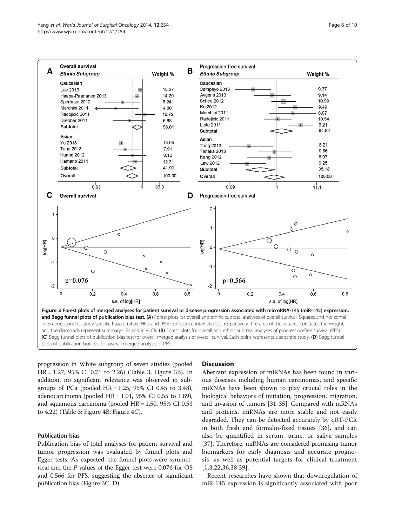<span id="page-5-0"></span>

progression in White subgroup of seven studies (pooled HR = 1.27, 95% CI 0.71 to 2.26) (Table [3;](#page-4-0) Figure 3B). In addition, no significant relevance was observed in subgroups of PCa (pooled HR = 1.25, 95% CI 0.45 to 3.48), adenocarcinoma (pooled  $HR = 1.01$ , 95% CI 0.55 to 1.89), and squamous carcinoma (pooled HR = 1.50, 95% CI 0.53 to 4.22) (Table [3](#page-4-0); Figure [4](#page-6-0)B; Figure [4C](#page-6-0)).

# Publication bias

Publication bias of total analyses for patient survival and tumor progression was evaluated by funnel plots and Egger tests. As expected, the funnel plots were symmetrical and the P values of the Egger test were 0.076 for OS and 0.566 for PFS, suggesting the absence of significant publication bias (Figure 3C, D).

## **Discussion**

Aberrant expression of miRNAs has been found in various diseases including human carcinomas, and specific miRNAs have been shown to play crucial roles in the biological behaviors of initiation, progression, migration, and invasion of tumors [[31-35](#page-8-0)]. Compared with mRNAs and proteins, miRNAs are more stable and not easily degraded. They can be detected accurately by qRT-PCR in both fresh and formalin-fixed tissues [\[36](#page-8-0)], and can also be quantified in serum, urine, or saliva samples [[37](#page-8-0)]. Therefore, miRNAs are considered promising tumor biomarkers for early diagnosis and accurate prognosis, as well as potential targets for clinical treatment [[1,3](#page-7-0),[22,36](#page-8-0),[38,39](#page-8-0)].

Recent researches have shown that downregulation of miR-145 expression is significantly associated with poor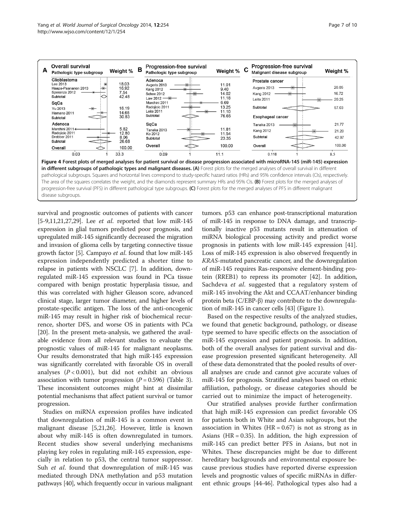<span id="page-6-0"></span>

survival and prognostic outcomes of patients with cancer [[5-](#page-7-0)[9,11,21,27,29\]](#page-8-0). Lee *et al.* reported that low miR-145 expression in glial tumors predicted poor prognosis, and upregulated miR-145 significantly decreased the migration and invasion of glioma cells by targeting connective tissue growth factor [\[5](#page-7-0)]. Campayo et al. found that low miR-145 expression independently predicted a shorter time to relapse in patients with NSCLC [[7\]](#page-8-0). In addition, downregulated miR-145 expression was found in PCa tissue compared with benign prostatic hyperplasia tissue, and this was correlated with higher Gleason score, advanced clinical stage, larger tumor diameter, and higher levels of prostate-specific antigen. The loss of the anti-oncogenic miR-145 may result in higher risk of biochemical recurrence, shorter DFS, and worse OS in patients with PCa [[20](#page-8-0)]. In the present meta-analysis, we gathered the available evidence from all relevant studies to evaluate the prognostic values of miR-145 for malignant neoplasms. Our results demonstrated that high miR-145 expression was significantly correlated with favorable OS in overall analyses  $(P < 0.001)$ , but did not exhibit an obvious association with tumor progression  $(P = 0.596)$  (Table [3](#page-4-0)). These inconsistent outcomes might hint at dissimilar potential mechanisms that affect patient survival or tumor progression.

Studies on miRNA expression profiles have indicated that downregulation of miR-145 is a common event in malignant disease [[5](#page-7-0),[21,26](#page-8-0)]. However, little is known about why miR-145 is often downregulated in tumors. Recent studies show several underlying mechanisms playing key roles in regulating miR-145 expression, especially in relation to p53, the central tumor suppressor. Suh *et al.* found that downregulation of miR-145 was mediated through DNA methylation and p53 mutation pathways [[40](#page-8-0)], which frequently occur in various malignant tumors. p53 can enhance post-transcriptional maturation of miR-145 in response to DNA damage, and transcriptionally inactive p53 mutants result in attenuation of miRNA biological processing activity and predict worse prognosis in patients with low miR-145 expression [[41](#page-8-0)]. Loss of miR-145 expression is also observed frequently in KRAS-mutated pancreatic cancer, and the downregulation of miR-145 requires Ras-responsive element-binding protein (RREB1) to repress its promoter [\[42\]](#page-8-0). In addition, Sachdeva et al. suggested that a regulatory system of miR-145 involving the Akt and CCAAT/enhancer binding protein beta (C/EBP-β) may contribute to the downregulation of miR-145 in cancer cells [[43](#page-8-0)] (Figure [1](#page-1-0)).

Based on the respective results of the analyzed studies, we found that genetic background, pathology, or disease type seemed to have specific effects on the association of miR-145 expression and patient prognosis. In addition, both of the overall analyses for patient survival and disease progression presented significant heterogeneity. All of these data demonstrated that the pooled results of overall analyses are crude and cannot give accurate values of miR-145 for prognosis. Stratified analyses based on ethnic affiliation, pathology, or disease categories should be carried out to minimize the impact of heterogeneity.

Our stratified analyses provide further confirmation that high miR-145 expression can predict favorable OS for patients both in White and Asian subgroups, but the association in Whites ( $HR = 0.67$ ) is not as strong as in Asians ( $HR = 0.35$ ). In addition, the high expression of miR-145 can predict better PFS in Asians, but not in Whites. These discrepancies might be due to different hereditary backgrounds and environmental exposure because previous studies have reported diverse expression levels and prognostic values of specific miRNAs in different ethnic groups [\[44](#page-8-0)-[46](#page-9-0)]. Pathological types also had a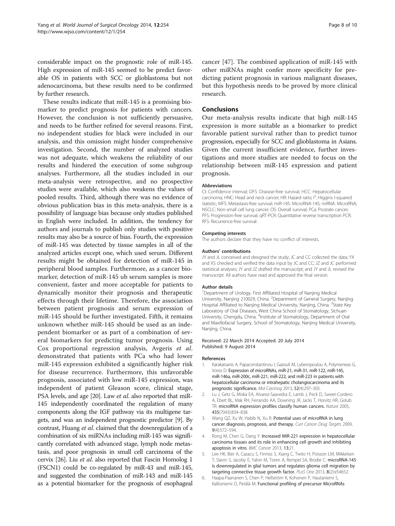<span id="page-7-0"></span>considerable impact on the prognostic role of miR-145. High expression of miR-145 seemed to be predict favorable OS in patients with SCC or glioblastoma but not adenocarcinoma, but these results need to be confirmed by further research.

These results indicate that miR-145 is a promising biomarker to predict prognosis for patients with cancers. However, the conclusion is not sufficiently persuasive, and needs to be further refined for several reasons. First, no independent studies for black were included in our analysis, and this omission might hinder comprehensive investigation. Second, the number of analyzed studies was not adequate, which weakens the reliability of our results and hindered the execution of some subgroup analyses. Furthermore, all the studies included in our meta-analysis were retrospective, and no prospective studies were available, which also weakens the values of pooled results. Third, although there was no evidence of obvious publication bias in this meta-analysis, there is a possibility of language bias because only studies published in English were included. In addition, the tendency for authors and journals to publish only studies with positive results may also be a source of bias. Fourth, the expression of miR-145 was detected by tissue samples in all of the analyzed articles except one, which used serum. Different results might be obtained for detection of miR-145 in peripheral blood samples. Furthermore, as a cancer biomarker, detection of miR-145 ub serum samples is more convenient, faster and more acceptable for patients to dynamically monitor their prognosis and therapeutic effects through their lifetime. Therefore, the association between patient prognosis and serum expression of miR-145 should be further investigated. Fifth, it remains unknown whether miR-145 should be used as an independent biomarker or as part of a combination of several biomarkers for predicting tumor prognosis. Using Cox proportional regression analysis, Avgeris et al. demonstrated that patients with PCa who had lower miR-145 expression exhibited a significantly higher risk for disease recurrence. Furthermore, this unfavorable prognosis, associated with low miR-145 expression, was independent of patient Gleason score, clinical stage, PSA levels, and age [\[20\]](#page-8-0). Law et al. also reported that miR-145 independently coordinated the regulation of many components along the IGF pathway via its multigene targets, and was an independent prognostic predictor [\[9](#page-8-0)]. By contrast, Huang et al. claimed that the downregulation of a combination of six miRNAs including miR-145 was significantly correlated with advanced stage, lymph node metastasis, and poor prognosis in small cell carcinoma of the cervix [[26](#page-8-0)]. Liu et al. also reported that Fascin Homolog 1 (FSCN1) could be co-regulated by miR-43 and miR-145, and suggested the combination of miR-143 and miR-145 as a potential biomarker for the prognosis of esophageal

cancer [\[47](#page-9-0)]. The combined application of miR-145 with other miRNAs might confer more specificity for predicting patient prognosis in various malignant diseases, but this hypothesis needs to be proved by more clinical research.

## Conclusions

Our meta-analysis results indicate that high miR-145 expression is more suitable as a biomarker to predict favorable patient survival rather than to predict tumor progression, especially for SCC and glioblastoma in Asians. Given the current insufficient evidence, further investigations and more studies are needed to focus on the relationship between miR-145 expression and patient prognosis.

#### Abbreviations

CI: Confidence interval; DFS: Disease-free survival; HCC: Hepatocellular carcinoma; HNC: Head and neck cancer; HR: Hazard ratio; I<sup>2</sup>: Higgins I-squared statistic; MFS: Metastasis-free survival; miR-145: MicroRNA-145; miRNA: MicroRNA; NSCLC: Non-small cell lung cancer; OS: Overall survival; PCa: Prostate cancer; PFS: Progression-free survival; qRT-PCR: Quantitative reverse transcription PCR; RFS: Recurrence-free survival.

#### Competing interests

The authors declare that they have no conflict of interests.

#### Authors' contributions

JY and JL conceived and designed the study; JC and CC collected the data; YX and XS checked and verified the data input by JC and CC; JZ and JC performed statistical analyses; JY and JZ drafted the manuscript; and JY and JL revised the manuscript. All authors have read and approved the final version.

#### Author details

<sup>1</sup>Department of Urology, First Affiliated Hospital of Nanjing Medical University, Nanjing 210029, China. <sup>2</sup>Department of General Surgery, Nanjing Hospital Affiliated to Nanjing Medical University, Nanjing, China. <sup>3</sup>State Key Laboratory of Oral Diseases, West China School of Stomatology, Sichuan University, Chengdu, China. <sup>4</sup>Institute of Stomatology, Department of Oral and Maxillofacial Surgery, School of Stomatology, Nanjing Medical University, Nanjing, China.

## Received: 22 March 2014 Accepted: 20 July 2014 Published: 9 August 2014

#### References

- 1. Karakatsanis A, Papaconstantinou I, Gazouli M, Lyberopoulou A, Polymeneas G, Voros D: Expression of microRNAs, miR-21, miR-31, miR-122, miR-145, miR-146a, miR-200c, miR-221, miR-222, and miR-223 in patients with hepatocellular carcinoma or intrahepatic cholangiocarcinoma and its prognostic significance. Mol Carcinog 2013, 52(4):297–303.
- 2. Lu J, Getz G, Miska EA, Alvarez-Saavedra E, Lamb J, Peck D, Sweet-Cordero A, Ebert BL, Mak RH, Ferrando AA, Downing JR, Jacks T, Horvitz HR, Golub TR: microRNA expression profiles classify human cancers. Nature 2005, 435(7043):834–838.
- 3. Wang QZ, Xu W, Habib N, Xu R: Potential uses of microRNA in lung cancer diagnosis, prognosis, and therapy. Curr Cancer Drug Targets 2009, 9(4):572–594.
- 4. Rong M, Chen G, Dang Y: Increased MiR-221 expression in hepatocellular carcinoma tissues and its role in enhancing cell growth and inhibiting apoptosis in vitro. BMC Cancer 2013, 13:21.
- 5. Lee HK, Bier A, Cazacu S, Finniss S, Xiang C, Twito H, Poisson LM, Mikkelsen T, Slavin S, Jacoby E, Yalon M, Toren A, Rempel SA, Brodie C: microRNA-145 is downregulated in glial tumors and regulates glioma cell migration by targeting connective tissue growth factor. PLoS One 2013, 8(2):e54652.
- 6. Haapa-Paananen S, Chen P, Hellström K, Kohonen P, Hautaniemi S, Kallioniemi O, Perälä M: Functional profiling of precursor MicroRNAs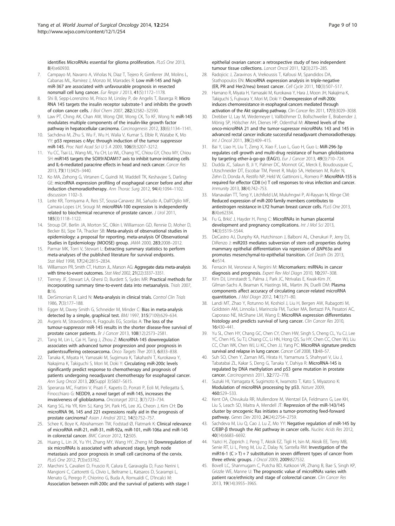<span id="page-8-0"></span>identifies MicroRNAs essential for glioma proliferation. PLoS One 2013, 8(4):e60930.

- 7. Campayo M, Navarro A, Viñolas N, Diaz T, Tejero R, Gimferrer JM, Molins L, Cabanas ML, Ramirez J, Monzo M, Marrades R: Low miR-145 and high miR-367 are associated with unfavourable prognosis in resected nonsmall cell lung cancer. Eur Respir J 2013, 41(5):1172–1178.
- 8. Shi B, Sepp-Lorenzino M, Prisco M, Linsley P, de Angelis T, Baserga R: Micro RNA 145 targets the insulin receptor substrate-1 and inhibits the growth of colon cancer cells. J Biol Chem 2007, 282:32582–32590.
- 9. Law PT, Ching AK, Chan AW, Wong QW, Wong CK, To KF, Wong N: miR-145 modulates multiple components of the insulin-like growth factor pathway in hepatocellular carcinoma. Carcinogenesis 2012, 33(6):1134–1141.
- 10. Sachdeva M, Zhu S, Wu F, Wu H, Walia V, Kumar S, Elble R, Watabe K, Mo YY: p53 represses c-Myc through induction of the tumor suppressor miR-145. Proc Natl Acad Sci U S A 2009, 106(9):3207–3212.
- 11. Yu CC, Tsai LL, Wang ML, Yu CH, Lo WL, Chang YC, Chiou GY, Chou MY, Chiou SH: miR145 targets the SOX9/ADAM17 axis to inhibit tumor-initiating cells and IL-6-mediated paracrine effects in head and neck cancer. Cancer Res 2013, 73(11):3425–3440.
- 12. Ko MA, Zehong G, Virtanen C, Guindi M, Waddell TK, Keshavjee S, Darling GE: microRNA expression profiling of esophageal cancer before and after induction chemoradiotherapy. Ann Thorac Surg 2012, 94(4):1094–1102. discussion 1102–3.
- 13. Leite KR, Tomiyama A, Reis ST, Sousa-Canavez JM, Sañudo A, Dall'Oglio MF, Camara-Lopes LH, Srougi M: microRNA-100 expression is independently related to biochemical recurrence of prostate cancer. J Urol 2011, 185(3):1118–1122.
- 14. Stroup DF, Berlin JA, Morton SC, Olkin I, Williamson GD, Rennie D, Moher D, Becker BJ, Sipe TA, Thacker SB: Meta-analysis of observational studies in epidemiology: a proposal for reporting. meta-analysis Of Observational Studies in Epidemiology (MOOSE) group. JAMA 2000, 283:2008–2012.
- 15. Parmar MK, Torri V, Stewart L: Extracting summary statistics to perform meta-analyses of the published literature for survival endpoints. Stat Med 1998, 17(24):2815–2834.
- 16. Williamson PR, Smith CT, Hutton JL, Marson AG: Aggregate data meta-analysis with time-to-event outcomes. Stat Med 2002, 21(22):3337–3351.
- 17. Tierney JF, Stewart LA, Ghersi D, Burdett S, Sydes MR: Practical methods for incorporating summary time-to-event data into metaanalysis. Trials 2007, 8:16.
- 18. DerSimonian R, Laird N: Meta-analysis in clinical trials. Control Clin Trials 1986, 7(3):177–188.
- 19. Egger M, Davey Smith G, Schneider M, Minder C: Bias in meta-analysis detected by a simple, graphical test. BMJ 1997, 315(7109):629–634.
- 20. Avgeris M, Stravodimos K, Fragoulis EG, Scorilas A: The loss of the tumour-suppressor miR-145 results in the shorter disease-free survival of prostate cancer patients. Br J Cancer 2013, 108(12):2573–2581.
- 21. Tang M, Lin L, Cai H, Tang J, Zhou Z: MicroRNA-145 downregulation associates with advanced tumor progression and poor prognosis in patientssuffering osteosarcoma. Onco Targets Ther 2013, 6:833–838.
- 22. Tanaka K, Miyata H, Yamasaki M, Sugimura K, Takahashi T, Kurokawa Y, Nakajima K, Takiguchi S, Mori M, Doki Y: Circulating miR-200c levels significantly predict response to chemotherapy and prognosis of patients undergoing neoadjuvant chemotherapy for esophageal cancer. Ann Surg Oncol 2013, 20(Suppl 3):S607-S615.
- 23. Speranza MC, Frattini V, Pisati F, Kapetis D, Porrati P, Eoli M, Pellegatta S, Finocchiaro G: NEDD9, a novel target of miR-145, increases the invasiveness of glioblastoma. Oncotarget 2012, 3(7):723–734.
- 24. Kang SG, Ha YR, Kim SJ, Kang SH, Park HS, Lee JG, Cheon J, Kim CH: Do microRNA 96, 145 and 221 expressions really aid in the prognosis of prostate carcinoma? Asian J Androl 2012, 14(5):752–757.
- 25. Schee K, Boye K, Abrahamsen TW, Fodstad Ø, Flatmark K: Clinical relevance of microRNA miR-21, miR-31, miR-92a, miR-101, miR-106a and miR-145 in colorectal cancer. BMC Cancer 2012, 12:505.
- 26. Huang L, Lin JX, Yu YH, Zhang MY, Wang HY, Zheng M: Downregulation of six microRNAs is associated with advanced stage, lymph node metastasis and poor prognosis in small cell carcinoma of the cervix. PLoS One 2012, 7(3):e33762.
- 27. Marchini S, Cavalieri D, Fruscio R, Calura E, Garavaglia D, Fuso Nerini I, Mangioni C, Cattoretti G, Clivio L, Beltrame L, Katsaros D, Scarampi L, Menato G, Perego P, Chiorino G, Buda A, Romualdi C, D'Incalci M: Association between miR-200c and the survival of patients with stage I

epithelial ovarian cancer: a retrospective study of two independent tumour tissue collections. Lancet Oncol 2011, 12(3):273–285.

- 28. Radojicic J, Zaravinos A, Vrekoussis T, Kafousi M, Spandidos DA, Stathopoulos EN: MicroRNA expression analysis in triple-negative (ER, PR and Her2/neu) breast cancer. Cell Cycle 2011, 10(3):507–517.
- 29. Hamano R, Miyata H, Yamasaki M, Kurokawa Y, Hara J, Moon JH, Nakajima K, Takiguchi S, Fujiwara Y, Mori M, Doki Y: Overexpression of miR-200c induces chemoresistance in esophageal cancers mediated through activation of the Akt signaling pathway. Clin Cancer Res 2011, 17(9):3029–3038.
- 30. Drebber U, Lay M, Wedemeyer I, Vallböhmer D, Bollschweiler E, Brabender J, Mönig SP, Hölscher AH, Dienes HP, Odenthal M: Altered levels of the onco-microRNA 21 and the tumor-supressor microRNAs 143 and 145 in advanced rectal cancer indicate successful neoadjuvant chemoradiotherapy. Int J Oncol 2011, 39(2):409–415.
- 31. Bai Y, Liao H, Liu T, Zeng X, Xiao F, Luo L, Guo H, Guo L: MiR-296-3p regulates cell growth and multi-drug resistance of human glioblastoma by targeting ether-à-go-go (EAG1). Eur J Cancer 2013, 49(3):710–724.
- 32. Dudda JC, Salaun B, Ji Y, Palmer DC, Monnot GC, Merck E, Boudousquie C, Utzschneider DT, Escobar TM, Perret R, Muljo SA, Hebeisen M, Rufer N, Zehn D, Donda A, Restifo NP, Held W, Gattinoni L, Romero P: MicroRNA-155 is required for effector CD8 (+) T cell responses to virus infection and cancer. Immunity 2013, 38(4):742–753.
- 33. Manavalan TT, Teng Y, Litchfield LM, Muluhngwi P, Al-Rayyan N, Klinge CM: Reduced expression of miR-200 family members contributes to antiestrogen resistance in LY2 human breast cancer cells. PLoS One 2013, 8(4):e62334.
- 34. Fu G, Brkić J, Hayder H, Peng C: MicroRNAs in human placental development and pregnancy complications. Int J Mol Sci 2013, 14(3):5519–5544.
- 35. DeCastro AJ, Dunphy KA, Hutchinson J, Balboni AL, Cherukuri P, Jerry DJ, DiRenzo J: miR203 mediates subversion of stem cell properties during mammary epithelial differentiation via repression of ΔNP63α and promotes mesenchymal-to-epithelial transition. Cell Death Dis 2013, 4:e514.
- 36. Ferracin M, Veronese A, Negrini M: Micromarkers: miRNAs in cancer diagnosis and prognosis. Expert Rev Mol Diagn 2010, 10:297-308.
- 37. Kim DJ, Linnstaedt S, Palma J, Park JC, Ntrivalas E, Kwak-Kim JY, Gilman-Sachs A, Beaman K, Hastings ML, Martin JN, Duelli DM: Plasma components affect accuracy of circulating cancer-related microRNA quantitation. J Mol Diagn 2012, 14(1):71–80.
- 38. Landi MT, Zhao Y, Rotunno M, Koshiol J, Liu H, Bergen AW, Rubagotti M, Goldstein AM, Linnoila I, Marincola FM, Tucker MA, Bertazzi PA, Pesatori AC, Caporaso NE, McShane LM, Wang E: MicroRNA expression differentiates histology and predicts survival of lung cancer. Clin Cancer Res 2010, 16:430–441.
- <sup>2</sup> Yu SL, Chen HY, Chang GC, Chen CY, Chen HW, Singh S, Cheng CL, Yu CJ, Lee YC, Chen HS, Su TJ, Chiang CC, Li HN, Hong QS, Su HY, Chen CC, Chen WJ, Liu CC, Chan WK, Chen WJ, Li KC, Chen JJ, Yang PC: MicroRNA signature predicts survival and relapse in lung cancer. Cancer Cell 2008, 13:48-57.
- 40. Suh SO, Chen Y, Zaman MS, Hirata H, Yamamura S, Shahryari V, Liu J, Tabatabai ZL, Kakar S, Deng G, Tanaka Y, Dahiya R: MicroRNA-145 is regulated by DNA methylation and p53 gene mutation in prostate cancer. Carcinogenesis 2011, 32:772–778.
- 41. Suzuki HI, Yamagata K, Sugimoto K, Iwamoto T, Kato S, Miyazono K: Modulation of microRNA processing by p53. Nature 2009, 460:529–533.
- 42. Kent OA, Chivukula RR, Mullendore M, Wentzel EA, Feldmann G, Lee KH, Liu S, Leach SD, Maitra A, Mendell JT: Repression of the miR-143/145 cluster by oncogenic Ras initiates a tumor-promoting feed-forward pathway. Genes Dev 2010, 24(24):2754–2759.
- 43. Sachdeva M, Liu Q, Cao J, Lu Z, Mo YY: Negative regulation of miR-145 by C/EBP-β through the Akt pathway in cancer cells. Nucleic Acids Res 2012, 40(14):6683–6692.
- Yazici H, Zipprich J, Peng T, Akisik EZ, Tigli H, Isin M, Akisik EE, Terry MB, Senie RT, Li L, Peng M, Liu Z, Dalay N, Santella RM: Investigation of the miR16-1  $(C > T) + 7$  substitution in seven different types of cancer from three ethnic groups. J Oncol 2009, 2009:827532.
- 45. Bovell LC, Shanmugam C, Putcha BD, Katkoori VR, Zhang B, Bae S, Singh KP, Grizzle WE, Manne U: The prognostic value of microRNAs varies with patient race/ethnicity and stage of colorectal cancer. Clin Cancer Res 2013, 19(14):3955–3965.